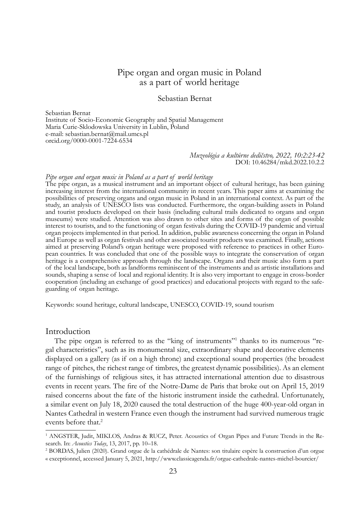# Pipe organ and organ music in Poland as a part of world heritage

### Sebastian Bernat

Sebastian Bernat Institute of Socio-Economic Geography and Spatial Management Maria Curie-Sklodowska University in Lublin, Poland e-mail: sebastian.bernat@mail.umcs.pl orcid.org/0000-0001-7224-6534

#### *Muzeológia a kultúrne dedičstvo, 2022, 10:2:23-42* DOI: 10.46284/mkd.2022.10.2.2

#### *Pipe organ and organ music in Poland as a part of world heritage*

The pipe organ, as a musical instrument and an important object of cultural heritage, has been gaining increasing interest from the international community in recent years. This paper aims at examining the possibilities of preserving organs and organ music in Poland in an international context. As part of the study, an analysis of UNESCO lists was conducted. Furthermore, the organ-building assets in Poland and tourist products developed on their basis (including cultural trails dedicated to organs and organ museums) were studied. Attention was also drawn to other sites and forms of the organ of possible interest to tourists, and to the functioning of organ festivals during the COVID-19 pandemic and virtual organ projects implemented in that period. In addition, public awareness concerning the organ in Poland and Europe as well as organ festivals and other associated tourist products was examined. Finally, actions pean countries. It was concluded that one of the possible ways to integrate the conservation of organ heritage is a comprehensive approach through the landscape. Organs and their music also form a part of the local landscape, both as landforms reminiscent of the instruments and as artistic installations and sounds, shaping a sense of local and regional identity. It is also very important to engage in cross-border cooperation (including an exchange of good practices) and educational projects with regard to the safeguarding of organ heritage.

Keywords: sound heritage, cultural landscape, UNESCO, COVID-19, sound tourism

#### Introduction

The pipe organ is referred to as the "king of instruments"<sup>1</sup> thanks to its numerous "regal characteristics", such as its monumental size, extraordinary shape and decorative elements displayed on a gallery (as if on a high throne) and exceptional sound properties (the broadest range of pitches, the richest range of timbres, the greatest dynamic possibilities). As an element of the furnishings of religious sites, it has attracted international attention due to disastrous events in recent years. The fire of the Notre-Dame de Paris that broke out on April 15, 2019 raised concerns about the fate of the historic instrument inside the cathedral. Unfortunately, a similar event on July 18, 2020 caused the total destruction of the huge 400-year-old organ in Nantes Cathedral in western France even though the instrument had survived numerous tragic events before that.<sup>2</sup>

<sup>1</sup> ANGSTER, Judit, MIKLOS, Andras & RUCZ, Peter. Acoustics of Organ Pipes and Future Trends in the Research. In: *Acoustics Today*, 13, 2017, pp. 10–18.

<sup>2</sup> BORDAS, Julien (2020). Grand orgue de la cathédrale de Nantes: son titulaire espère la construction d'un orgue « exceptionnel, accessed January 5, 2021, http://www.classicagenda.fr/orgue-cathedrale-nantes-michel-bourcier/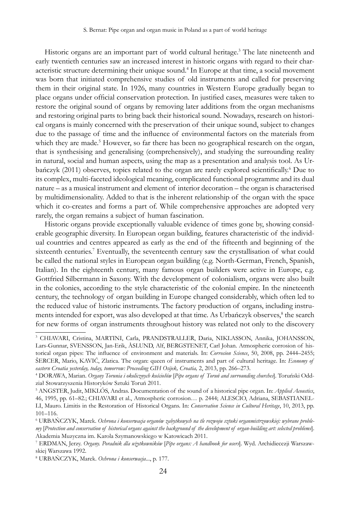Historic organs are an important part of world cultural heritage.<sup>3</sup> The late nineteenth and early twentieth centuries saw an increased interest in historic organs with regard to their characteristic structure determining their unique sound.<sup>4</sup> In Europe at that time, a social movement was born that initiated comprehensive studies of old instruments and called for preserving them in their original state. In 1926, many countries in Western Europe gradually began to place organs under official conservation protection. In justified cases, measures were taken to restore the original sound of organs by removing later additions from the organ mechanisms and restoring original parts to bring back their historical sound. Nowadays, research on historical organs is mainly concerned with the preservation of their unique sound, subject to changes due to the passage of time and the influence of environmental factors on the materials from which they are made.<sup>5</sup> However, so far there has been no geographical research on the organ, that is synthesising and generalising (comprehensively), and studying the surrounding reality in natural, social and human aspects, using the map as a presentation and analysis tool. As Urbańczyk (2011) observes, topics related to the organ are rarely explored scientifically.<sup>6</sup> Due to its complex, multi-faceted ideological meaning, complicated functional programme and its dual nature – as a musical instrument and element of interior decoration – the organ is characterised by multidimensionality. Added to that is the inherent relationship of the organ with the space which it co-creates and forms a part of. While comprehensive approaches are adopted very rarely, the organ remains a subject of human fascination.

Historic organs provide exceptionally valuable evidence of times gone by, showing considerable geographic diversity. In European organ building, features characteristic of the individual countries and centres appeared as early as the end of the fifteenth and beginning of the sixteenth centuries.<sup>7</sup> Eventually, the seventeenth century saw the crystallisation of what could be called the national styles in European organ building (e.g. North-German, French, Spanish, Italian). In the eighteenth century, many famous organ builders were active in Europe, e.g. Gottfried Silbermann in Saxony. With the development of colonialism, organs were also built in the colonies, according to the style characteristic of the colonial empire. In the nineteenth century, the technology of organ building in Europe changed considerably, which often led to the reduced value of historic instruments. The factory production of organs, including instruments intended for export, was also developed at that time. As Urbańczyk observes,<sup>8</sup> the search for new forms of organ instruments throughout history was related not only to the discovery

<sup>3</sup> CHIAVARI, Cristina, MARTINI, Carla, PRANDSTRALLER, Daria, NIKLASSON, Annika, JOHANSSON, Lars-Gunnar, SVENSSON, Jan-Erik, ÅSLUND, Alf, BERGSTENET, Carl Johan. Atmospheric corrosion of historical organ pipes: The influence of environment and materials. In: *Corrosion Science*, 50, 2008, pp. 2444–2455; ŠERCER, Mario, KAVIĆ, Zlatica. The organ: queen of instruments and part of cultural heritage. In: *Economy of*  eastern Croatia yesterday, today, tomorrow: Proceeding GIH Osijek, Croatia, 2, 2013, pp. 266–273.

<sup>4</sup> DORAWA, Marian. *Organy Torunia i okolicznych kościołów* [*Pipe organs of Toruń and surrounding churches*]. Toruński Oddział Stowarzyszenia Historyków Sztuki Toruń 2011.

<sup>5</sup> ANGSTER, Judit, MIKLÓS, Andras. Documentation of the sound of a historical pipe organ. In: *Applied Acoustics*, 46, 1995, pp. 61–82.; CHIAVARI et al., Atmospheric corrosion… p. 2444; ALESCIO, Adriana, SEBASTIANEL-LI, Mauro. Limitis in the Restoration of Historical Organs. In: *Conservation Science in Cultural Heritage*, 10, 2013, pp. 101–116.

<sup>6</sup> URBAŃCZYK, Marek. *Ochrona i konserwacja organów zabytkowych na tle rozwoju sztuki organmistrzowskiej: wybrane problemy* [*Protection and conservation of historical organs against the background of the development of organ-building art: selected problems*]. Akademia Muzyczna im. Karola Szymanowskiego w Katowicach 2011.

<sup>7</sup> ERDMAN, Jerzy. *Organy. Poradnik dla użytkowników* [*Pipe organs: A handbook for users*]. Wyd. Archidiecezji Warszawskiej Warszawa 1992.

<sup>8</sup> URBAŃCZYK, Marek. *Ochrona i konserwacja*..., p. 177.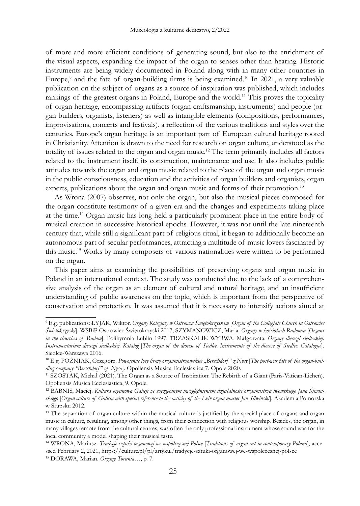of more and more efficient conditions of generating sound, but also to the enrichment of the visual aspects, expanding the impact of the organ to senses other than hearing. Historic instruments are being widely documented in Poland along with in many other countries in Europe,<sup>9</sup> and the fate of organ-building firms is being examined.<sup>10</sup> In 2021, a very valuable publication on the subject of organs as a source of inspiration was published, which includes rankings of the greatest organs in Poland, Europe and the world.<sup>11</sup> This proves the topicality of organ heritage, encompassing artifacts (organ craftsmanship, instruments) and people (organ builders, organists, listeners) as well as intangible elements (compositions, performances, improvisations, concerts and festivals), a reflection of the various traditions and styles over the centuries. Europe's organ heritage is an important part of European cultural heritage rooted in Christianity. Attention is drawn to the need for research on organ culture, understood as the totality of issues related to the organ and organ music.<sup>12</sup> The term primarily includes all factors related to the instrument itself, its construction, maintenance and use. It also includes public attitudes towards the organ and organ music related to the place of the organ and organ music in the public consciousness, education and the activities of organ builders and organists, organ experts, publications about the organ and organ music and forms of their promotion.<sup>13</sup>

As Wrona (2007) observes, not only the organ, but also the musical pieces composed for the organ constitute testimony of a given era and the changes and experiments taking place at the time.14 Organ music has long held a particularly prominent place in the entire body of musical creation in successive historical epochs. However, it was not until the late nineteenth century that, while still a significant part of religious ritual, it began to additionally become an autonomous part of secular performances, attracting a multitude of music lovers fascinated by this music.<sup>15</sup> Works by many composers of various nationalities were written to be performed on the organ.

This paper aims at examining the possibilities of preserving organs and organ music in Poland in an international context. The study was conducted due to the lack of a comprehensive analysis of the organ as an element of cultural and natural heritage, and an insufficient understanding of public awareness on the topic, which is important from the perspective of conservation and protection. It was assumed that it is necessary to intensify actions aimed at

<sup>9</sup> E.g. publications: ŁYJAK, Wiktor. *Organy Kolegiaty w Ostrowcu Świętokrzyskim* [*Organ of the Collegiate Church in Ostrowiec Świętokrzyski*]. WSBiP Ostrowiec Świętokrzyski 2017; SZYMANOWICZ, Maria. *Organy w kościołach Radomia* [*Organs in the churches of Radom*]. Polihymnia Lublin 1997; TRZASKALIK-WYRWA, Małgorzata. *Organy diecezji siedleckiej. Instrumentarium diecezji siedleckiej. Katalog* [*The organ of the diocese of Siedlce. Instruments of the diocese of Siedlce. Catalogue*]. Siedlce-Warszawa 2016.

<sup>&</sup>lt;sup>10</sup> E.g. POŹNIAK, Grzegorz. *Powojenne losy firmy organmistrzowskiej* "Berschdorf" z Nysy [The post-war fate of the organ-buil*ding company "Berschdorf" of Nysa*]. Opoliensis Musica Ecclesiastica 7. Opole 2020.

<sup>11</sup> SZOSTAK, Michał (2021). The Organ as a Source of Inspiration: The Rebirth of a Giant (Paris-Vatican-Licheń). Opoliensis Musica Ecclesiastica, 9. Opole.

<sup>12</sup> BABNIS, Maciej. *Kultura organowa Galicji ze szczególnym uwzględnieniem działalności organmistrza lwowskiego Jana Śliwińskiego* [*Organ culture of Galicia with special reference to the activity of the Lviv organ master Jan Sliwinski*]. Akademia Pomorska w Słupsku 2012.

<sup>&</sup>lt;sup>13</sup> The separation of organ culture within the musical culture is justified by the special place of organs and organ music in culture, resulting, among other things, from their connection with religious worship. Besides, the organ, in many villages remote from the cultural centres, was often the only professional instrument whose sound was for the local community a model shaping their musical taste.

<sup>14</sup> WRONA, Mariusz. *Tradycje sztuki organowej we współczesnej Polsce* [*Traditions of organ art in contemporary Poland*], accessed February 2, 2021, https://culture.pl/pl/artykul/tradycje-sztuki-organowej-we-wspolczesnej-polsce <sup>15</sup> DORAWA, Marian. *Organy Torunia*…, p. 7.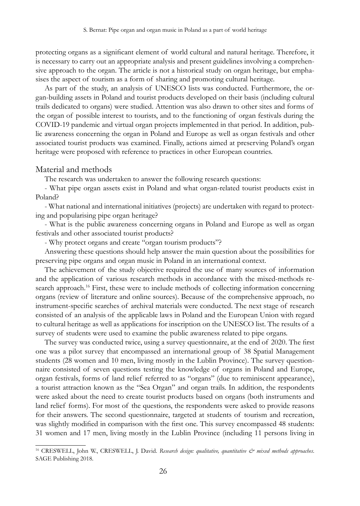protecting organs as a significant element of world cultural and natural heritage. Therefore, it is necessary to carry out an appropriate analysis and present guidelines involving a comprehensive approach to the organ. The article is not a historical study on organ heritage, but emphasises the aspect of tourism as a form of sharing and promoting cultural heritage.

As part of the study, an analysis of UNESCO lists was conducted. Furthermore, the organ-building assets in Poland and tourist products developed on their basis (including cultural trails dedicated to organs) were studied. Attention was also drawn to other sites and forms of the organ of possible interest to tourists, and to the functioning of organ festivals during the COVID-19 pandemic and virtual organ projects implemented in that period. In addition, public awareness concerning the organ in Poland and Europe as well as organ festivals and other associated tourist products was examined. Finally, actions aimed at preserving Poland's organ heritage were proposed with reference to practices in other European countries.

#### Material and methods

The research was undertaken to answer the following research questions:

- What pipe organ assets exist in Poland and what organ-related tourist products exist in Poland?

- What national and international initiatives (projects) are undertaken with regard to protecting and popularising pipe organ heritage?

- What is the public awareness concerning organs in Poland and Europe as well as organ festivals and other associated tourist products?

- Why protect organs and create "organ tourism products"?

Answering these questions should help answer the main question about the possibilities for preserving pipe organs and organ music in Poland in an international context.

The achievement of the study objective required the use of many sources of information and the application of various research methods in accordance with the mixed-methods research approach.<sup>16</sup> First, these were to include methods of collecting information concerning organs (review of literature and online sources). Because of the comprehensive approach, no instrument-specific searches of archival materials were conducted. The next stage of research consisted of an analysis of the applicable laws in Poland and the European Union with regard to cultural heritage as well as applications for inscription on the UNESCO list. The results of a survey of students were used to examine the public awareness related to pipe organs.

The survey was conducted twice, using a survey questionnaire, at the end of 2020. The first one was a pilot survey that encompassed an international group of 38 Spatial Management students (28 women and 10 men, living mostly in the Lublin Province). The survey questionnaire consisted of seven questions testing the knowledge of organs in Poland and Europe, organ festivals, forms of land relief referred to as "organs" (due to reminiscent appearance), a tourist attraction known as the "Sea Organ" and organ trails. In addition, the respondents were asked about the need to create tourist products based on organs (both instruments and land relief forms). For most of the questions, the respondents were asked to provide reasons for their answers. The second questionnaire, targeted at students of tourism and recreation, was slightly modified in comparison with the first one. This survey encompassed 48 students: 31 women and 17 men, living mostly in the Lublin Province (including 11 persons living in

<sup>16</sup> CRESWELL, John W., CRESWELL, J. David. *Research design: qualitative, quantitative & mixed methods approaches*. SAGE Publishing 2018.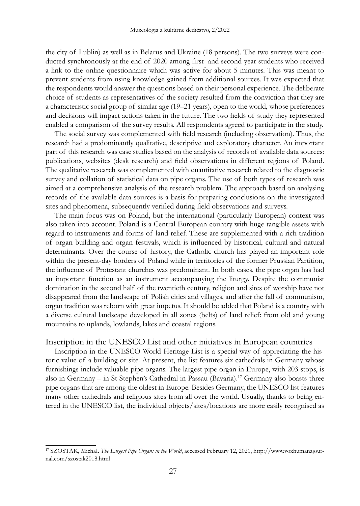the city of Lublin) as well as in Belarus and Ukraine (18 persons). The two surveys were conducted synchronously at the end of 2020 among first- and second-year students who received a link to the online questionnaire which was active for about 5 minutes. This was meant to prevent students from using knowledge gained from additional sources. It was expected that the respondents would answer the questions based on their personal experience. The deliberate choice of students as representatives of the society resulted from the conviction that they are a characteristic social group of similar age (19–21 years), open to the world, whose preferences and decisions will impact actions taken in the future. The two fields of study they represented enabled a comparison of the survey results. All respondents agreed to participate in the study.

The social survey was complemented with field research (including observation). Thus, the research had a predominantly qualitative, descriptive and exploratory character. An important part of this research was case studies based on the analysis of records of available data sources: publications, websites (desk research) and field observations in different regions of Poland. The qualitative research was complemented with quantitative research related to the diagnostic survey and collation of statistical data on pipe organs. The use of both types of research was aimed at a comprehensive analysis of the research problem. The approach based on analysing records of the available data sources is a basis for preparing conclusions on the investigated sites and phenomena, subsequently verified during field observations and surveys.

The main focus was on Poland, but the international (particularly European) context was also taken into account. Poland is a Central European country with huge tangible assets with regard to instruments and forms of land relief. These are supplemented with a rich tradition of organ building and organ festivals, which is influenced by historical, cultural and natural determinants. Over the course of history, the Catholic church has played an important role within the present-day borders of Poland while in territories of the former Prussian Partition, the influence of Protestant churches was predominant. In both cases, the pipe organ has had an important function as an instrument accompanying the liturgy. Despite the communist domination in the second half of the twentieth century, religion and sites of worship have not disappeared from the landscape of Polish cities and villages, and after the fall of communism, organ tradition was reborn with great impetus. It should be added that Poland is a country with a diverse cultural landscape developed in all zones (belts) of land relief: from old and young mountains to uplands, lowlands, lakes and coastal regions.

### Inscription in the UNESCO List and other initiatives in European countries

Inscription in the UNESCO World Heritage List is a special way of appreciating the historic value of a building or site. At present, the list features six cathedrals in Germany whose furnishings include valuable pipe organs. The largest pipe organ in Europe, with 203 stops, is also in Germany – in St Stephen's Cathedral in Passau (Bavaria).<sup>17</sup> Germany also boasts three pipe organs that are among the oldest in Europe. Besides Germany, the UNESCO list features many other cathedrals and religious sites from all over the world. Usually, thanks to being entered in the UNESCO list, the individual objects/sites/locations are more easily recognised as

<sup>17</sup> SZOSTAK, Michał. *The Largest Pipe Organs in the World*, accessed February 12, 2021, http://www.voxhumanajournal.com/szostak2018.html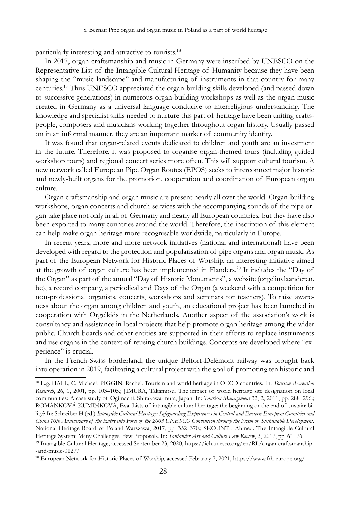particularly interesting and attractive to tourists.18

In 2017, organ craftsmanship and music in Germany were inscribed by UNESCO on the Representative List of the Intangible Cultural Heritage of Humanity because they have been shaping the "music landscape" and manufacturing of instruments in that country for many centuries.<sup>19</sup> Thus UNESCO appreciated the organ-building skills developed (and passed down to successive generations) in numerous organ-building workshops as well as the organ music created in Germany as a universal language conducive to interreligious understanding. The knowledge and specialist skills needed to nurture this part of heritage have been uniting craftspeople, composers and musicians working together throughout organ history. Usually passed on in an informal manner, they are an important marker of community identity.

It was found that organ-related events dedicated to children and youth are an investment in the future. Therefore, it was proposed to organise organ-themed tours (including guided workshop tours) and regional concert series more often. This will support cultural tourism. A new network called European Pipe Organ Routes (EPOS) seeks to interconnect major historic and newly-built organs for the promotion, cooperation and coordination of European organ culture.

Organ craftsmanship and organ music are present nearly all over the world. Organ-building workshops, organ concerts and church services with the accompanying sounds of the pipe organ take place not only in all of Germany and nearly all European countries, but they have also been exported to many countries around the world. Therefore, the inscription of this element can help make organ heritage more recognisable worldwide, particularly in Europe.

In recent years, more and more network initiatives (national and international) have been developed with regard to the protection and popularisation of pipe organs and organ music. As part of the European Network for Historic Places of Worship, an interesting initiative aimed at the growth of organ culture has been implemented in Flanders.20 It includes the "Day of the Organ" as part of the annual "Day of Historic Monuments", a website (orgelinvlaanderen. be), a record company, a periodical and Days of the Organ (a weekend with a competition for non-professional organists, concerts, workshops and seminars for teachers). To raise awareness about the organ among children and youth, an educational project has been launched in cooperation with Orgelkids in the Netherlands. Another aspect of the association's work is consultancy and assistance in local projects that help promote organ heritage among the wider public. Church boards and other entities are supported in their efforts to replace instruments and use organs in the context of reusing church buildings. Concepts are developed where "experience" is crucial.

In the French-Swiss borderland, the unique Belfort-Delémont railway was brought back into operation in 2019, facilitating a cultural project with the goal of promoting ten historic and

<sup>18</sup> E.g. HALL, C. Michael, PIGGIN, Rachel. Tourism and world heritage in OECD countries. In: *Tourism Recreation Research*, 26, 1, 2001, pp. 103–105.; JIMURA, Takamitsu. The impact of world heritage site designation on local communities: A case study of Ogimachi, Shirakawa-mura, Japan. In: *Tourism Management* 32, 2, 2011, pp. 288–296.; ROMÁNKOVÁ-KUMINKOVÁ, Eva. Lists of intangible cultural heritage: the beginning or the end of sustainability? In: Schreiber H (ed.) *Intangible Cultural Heritage: Safeguarding Experiences in Central and Eastern European Countries and China 10th Anniversary of the Entry into Force of the 2003 UNESCO Convention through the Prism of Sustainable Development*. National Heritage Board of Poland Warszawa, 2017, pp. 352–370.; SKOUNTI, Ahmed. The Intangible Cultural Heritage System: Many Challenges, Few Proposals. In: *Santander Art and Culture Law Review*, 2, 2017, pp. 61–76. <sup>19</sup> Intangible Cultural Heritage, accessed September 23, 2020, https://ich.unesco.org/en/RL/organ-craftsmanship-

<sup>-</sup>and-music-01277

<sup>20</sup> European Network for Historic Places of Worship, accessed February 7, 2021, https://www.frh-europe.org/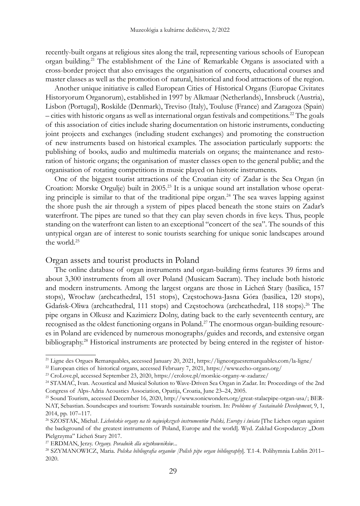recently-built organs at religious sites along the trail, representing various schools of European organ building.<sup>21</sup> The establishment of the Line of Remarkable Organs is associated with a cross-border project that also envisages the organisation of concerts, educational courses and master classes as well as the promotion of natural, historical and food attractions of the region.

Another unique initiative is called European Cities of Historical Organs (Europae Civitates Historyorum Organorum), established in 1997 by Alkmaar (Netherlands), Innsbruck (Austria), Lisbon (Portugal), Roskilde (Denmark), Treviso (Italy), Touluse (France) and Zaragoza (Spain) – cities with historic organs as well as international organ festivals and competitions.22 The goals of this association of cities include sharing documentation on historic instruments, conducting joint projects and exchanges (including student exchanges) and promoting the construction of new instruments based on historical examples. The association particularly supports: the publishing of books, audio and multimedia materials on organs; the maintenance and restoration of historic organs; the organisation of master classes open to the general public; and the organisation of rotating competitions in music played on historic instruments.

One of the biggest tourist attractions of the Croatian city of Zadar is the Sea Organ (in Croation: Morske Orgulje) built in 2005.<sup>23</sup> It is a unique sound art installation whose operating principle is similar to that of the traditional pipe organ.<sup>24</sup> The sea waves lapping against the shore push the air through a system of pipes placed beneath the stone stairs on Zadar's waterfront. The pipes are tuned so that they can play seven chords in five keys. Thus, people standing on the waterfront can listen to an exceptional "concert of the sea". The sounds of this untypical organ are of interest to sonic tourists searching for unique sonic landscapes around the world.25

### Organ assets and tourist products in Poland

The online database of organ instruments and organ-building firms features 39 firms and about 3,300 instruments from all over Poland (Musicam Sacram). They include both historic and modern instruments. Among the largest organs are those in Licheń Stary (basilica, 157 stops), Wrocław (archcathedral, 151 stops), Częstochowa-Jasna Góra (basilica, 120 stops), Gdańsk-Oliwa (archcathedral, 111 stops) and Częstochowa (archcathedral, 118 stops).<sup>26</sup> The pipe organs in Olkusz and Kazimierz Dolny, dating back to the early seventeenth century, are recognised as the oldest functioning organs in Poland.27 The enormous organ-building resources in Poland are evidenced by numerous monographs/guides and records, and extensive organ bibliography.<sup>28</sup> Historical instruments are protected by being entered in the register of histor-

<sup>21</sup> Ligne des Orgues Remarquables, accessed January 20, 2021, https://ligneorguesremarquables.com/la-ligne/

<sup>22</sup> European cities of historical organs, accessed February 7, 2021, https://www.echo-organs.org/

<sup>23</sup> CroLove.pl, accessed September 23, 2020, https://crolove.pl/morskie-organy-w-zadarze/

<sup>24</sup> STAMAĆ, Ivan. Acoustical and Musical Solution to Wave-Driven Sea Organ in Zadar. In: Proceedings of the 2nd Congress of Alps-Adria Acoustics Association, Opatija, Croatia, June 23–24, 2005.

<sup>25</sup> Sound Tourism, accessed December 16, 2020, http://www.sonicwonders.org/great-stalacpipe-organ-usa/; BER-NAT, Sebastian. Soundscapes and tourism: Towards sustainable tourism. In: *Problems of Sustainable Development*, 9, 1, 2014, pp. 107–117.

<sup>26</sup> SZOSTAK, Michał. *Licheńskie organy na tle największych instrumentów Polski, Europy i świata* [The Lichen organ against the background of the greatest instruments of Poland, Europe and the world]. Wyd. Zakład Gospodarczy "Dom Pielgrzyma" Licheń Stary 2017.

<sup>27</sup> ERDMAN, Jerzy. *Organy. Poradnik dla użytkowników*...

<sup>28</sup> SZYMANOWICZ, Maria. *Polska bibliografia organów [Polish pipe organ bibliography*]. T.1-4. Polihymnia Lublin 2011– 2020.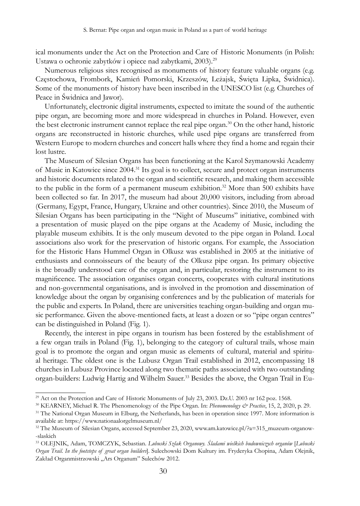ical monuments under the Act on the Protection and Care of Historic Monuments (in Polish: Ustawa o ochronie zabytków i opiece nad zabytkami, 2003).29

Numerous religious sites recognised as monuments of history feature valuable organs (e.g. Częstochowa, Frombork, Kamień Pomorski, Krzeszów, Leżajsk, Święta Lipka, Świdnica). Some of the monuments of history have been inscribed in the UNESCO list (e.g. Churches of Peace in Świdnica and Jawor).

Unfortunately, electronic digital instruments, expected to imitate the sound of the authentic pipe organ, are becoming more and more widespread in churches in Poland. However, even the best electronic instrument cannot replace the real pipe organ.<sup>30</sup> On the other hand, historic organs are reconstructed in historic churches, while used pipe organs are transferred from Western Europe to modern churches and concert halls where they find a home and regain their lost lustre.

The Museum of Silesian Organs has been functioning at the Karol Szymanowski Academy of Music in Katowice since 2004.31 Its goal is to collect, secure and protect organ instruments and historic documents related to the organ and scientific research, and making them accessible to the public in the form of a permanent museum exhibition.<sup>32</sup> More than 500 exhibits have been collected so far. In 2017, the museum had about 20,000 visitors, including from abroad (Germany, Egypt, France, Hungary, Ukraine and other countries). Since 2010, the Museum of Silesian Organs has been participating in the "Night of Museums" initiative, combined with a presentation of music played on the pipe organs at the Academy of Music, including the playable museum exhibits. It is the only museum devoted to the pipe organ in Poland. Local associations also work for the preservation of historic organs. For example, the Association for the Historic Hans Hummel Organ in Olkusz was established in 2005 at the initiative of enthusiasts and connoisseurs of the beauty of the Olkusz pipe organ. Its primary objective is the broadly understood care of the organ and, in particular, restoring the instrument to its magnificence. The association organises organ concerts, cooperates with cultural institutions and non-governmental organisations, and is involved in the promotion and dissemination of knowledge about the organ by organising conferences and by the publication of materials for the public and experts. In Poland, there are universities teaching organ-building and organ music performance. Given the above-mentioned facts, at least a dozen or so "pipe organ centres" can be distinguished in Poland (Fig. 1).

Recently, the interest in pipe organs in tourism has been fostered by the establishment of a few organ trails in Poland (Fig. 1), belonging to the category of cultural trails, whose main goal is to promote the organ and organ music as elements of cultural, material and spiritual heritage. The oldest one is the Lubusz Organ Trail established in 2012, encompassing 18 churches in Lubusz Province located along two thematic paths associated with two outstanding organ-builders: Ludwig Hartig and Wilhelm Sauer.33 Besides the above, the Organ Trail in Eu-

<sup>&</sup>lt;sup>29</sup> Act on the Protection and Care of Historic Monuments of July 23, 2003. Dz.U. 2003 nr 162 poz. 1568.

<sup>30</sup> KEARNEY, Michael R. The Phenomenology of the Pipe Organ. In: *Phenomenology & Practice*, 15, 2, 2020, p. 29.

<sup>&</sup>lt;sup>31</sup> The National Organ Museum in Elburg, the Netherlands, has been in operation since 1997. More information is available at: https://www.nationaalorgelmuseum.nl/

<sup>32</sup> The Museum of Silesian Organs, accessed September 23, 2020, www.am.katowice.pl/?a=315\_muzeum-organow- -slaskich

<sup>33</sup> OLEJNIK, Adam, TOMCZYK, Sebastian. *Lubuski Szlak Organowy. Śladami wielkich budowniczych organów* [*Lubuski Organ Trail. In the footsteps of great organ builders*]. Sulechowski Dom Kultury im. Fryderyka Chopina, Adam Olejnik, Zakład Organmistrzowski "Ars Organum" Sulechów 2012.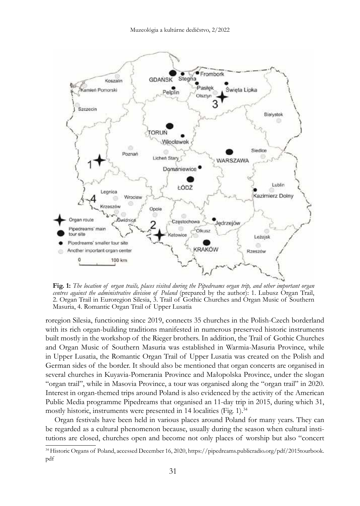

**Fig. 1:** *The location of organ trails, places visited during the Pipedreams organ trip, and other important organ centres against the administrative division of Poland* (prepared by the author): 1. Lubusz Organ Trail, 2. Organ Trail in Euroregion Silesia, 3. Trail of Gothic Churches and Organ Music of Southern Masuria, 4. Romantic Organ Trail of Upper Lusatia

roregion Silesia, functioning since 2019, connects 35 churches in the Polish-Czech borderland with its rich organ-building traditions manifested in numerous preserved historic instruments built mostly in the workshop of the Rieger brothers. In addition, the Trail of Gothic Churches and Organ Music of Southern Masuria was established in Warmia-Masuria Province, while in Upper Lusatia, the Romantic Organ Trail of Upper Lusatia was created on the Polish and German sides of the border. It should also be mentioned that organ concerts are organised in several churches in Kuyavia-Pomerania Province and Małopolska Province, under the slogan "organ trail", while in Masovia Province, a tour was organised along the "organ trail" in 2020. Interest in organ-themed trips around Poland is also evidenced by the activity of the American Public Media programme Pipedreams that organised an 11-day trip in 2015, during which 31, mostly historic, instruments were presented in 14 localities (Fig. 1).<sup>34</sup>

Organ festivals have been held in various places around Poland for many years. They can be regarded as a cultural phenomenon because, usually during the season when cultural institutions are closed, churches open and become not only places of worship but also "concert

<sup>34</sup> Historic Organs of Poland, accessed December 16, 2020, https://pipedreams.publicradio.org/pdf/2015tourbook. pdf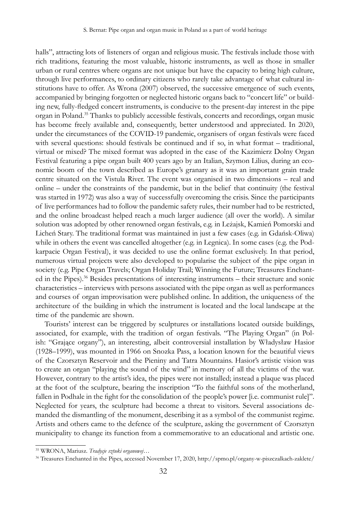halls", attracting lots of listeners of organ and religious music. The festivals include those with rich traditions, featuring the most valuable, historic instruments, as well as those in smaller urban or rural centres where organs are not unique but have the capacity to bring high culture, through live performances, to ordinary citizens who rarely take advantage of what cultural institutions have to offer. As Wrona (2007) observed, the successive emergence of such events, accompanied by bringing forgotten or neglected historic organs back to "concert life" or building new, fully-fledged concert instruments, is conducive to the present-day interest in the pipe organ in Poland.35 Thanks to publicly accessible festivals, concerts and recordings, organ music has become freely available and, consequently, better understood and appreciated. In 2020, under the circumstances of the COVID-19 pandemic, organisers of organ festivals were faced with several questions: should festivals be continued and if so, in what format – traditional, virtual or mixed? The mixed format was adopted in the case of the Kazimierz Dolny Organ Festival featuring a pipe organ built 400 years ago by an Italian, Szymon Lilius, during an economic boom of the town described as Europe's granary as it was an important grain trade centre situated on the Vistula River. The event was organised in two dimensions – real and online – under the constraints of the pandemic, but in the belief that continuity (the festival was started in 1972) was also a way of successfully overcoming the crisis. Since the participants of live performances had to follow the pandemic safety rules, their number had to be restricted, and the online broadcast helped reach a much larger audience (all over the world). A similar solution was adopted by other renowned organ festivals, e.g. in Leżajsk, Kamień Pomorski and Licheń Stary. The traditional format was maintained in just a few cases (e.g. in Gdańsk-Oliwa) while in others the event was cancelled altogether (e.g. in Legnica). In some cases (e.g. the Podkarpacie Organ Festival), it was decided to use the online format exclusively. In that period, numerous virtual projects were also developed to popularise the subject of the pipe organ in society (e.g. Pipe Organ Travels; Organ Holiday Trail; Winning the Future; Treasures Enchanted in the Pipes).36 Besides presentations of interesting instruments – their structure and sonic characteristics – interviews with persons associated with the pipe organ as well as performances and courses of organ improvisation were published online. In addition, the uniqueness of the architecture of the building in which the instrument is located and the local landscape at the time of the pandemic are shown.

Tourists' interest can be triggered by sculptures or installations located outside buildings, associated, for example, with the tradition of organ festivals. "The Playing Organ" (in Polish: "Grające organy"), an interesting, albeit controversial installation by Władysław Hasior (1928–1999), was mounted in 1966 on Snozka Pass, a location known for the beautiful views of the Czorsztyn Reservoir and the Pieniny and Tatra Mountains. Hasior's artistic vision was to create an organ "playing the sound of the wind" in memory of all the victims of the war. However, contrary to the artist's idea, the pipes were not installed; instead a plaque was placed at the foot of the sculpture, bearing the inscription "To the faithful sons of the motherland, fallen in Podhale in the fight for the consolidation of the people's power [i.e. communist rule]". Neglected for years, the sculpture had become a threat to visitors. Several associations demanded the dismantling of the monument, describing it as a symbol of the communist regime. Artists and others came to the defence of the sculpture, asking the government of Czorsztyn municipality to change its function from a commemorative to an educational and artistic one.

<sup>35</sup> WRONA, Mariusz. *Tradycje sztuki organowej…*

<sup>36</sup> Treasures Enchanted in the Pipes, accessed November 17, 2020, http://spmo.pl/organy-w-piszczalkach-zaklete/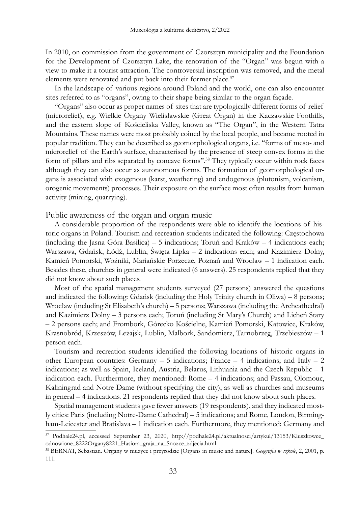In 2010, on commission from the government of Czorsztyn municipality and the Foundation for the Development of Czorsztyn Lake, the renovation of the "Organ" was begun with a view to make it a tourist attraction. The controversial inscription was removed, and the metal elements were renovated and put back into their former place.<sup>37</sup>

In the landscape of various regions around Poland and the world, one can also encounter sites referred to as "organs", owing to their shape being similar to the organ façade.

"Organs" also occur as proper names of sites that are typologically different forms of relief (microrelief), e.g. Wielkie Organy Wielisławskie (Great Organ) in the Kaczawskie Foothills, and the eastern slope of Kościeliska Valley, known as "The Organ", in the Western Tatra Mountains. These names were most probably coined by the local people, and became rooted in popular tradition. They can be described as geomorphological organs, i.e. "forms of meso- and microrelief of the Earth's surface, characterised by the presence of steep convex forms in the form of pillars and ribs separated by concave forms".38 They typically occur within rock faces although they can also occur as autonomous forms. The formation of geomorphological organs is associated with exogenous (karst, weathering) and endogenous (plutonism, volcanism, orogenic movements) processes. Their exposure on the surface most often results from human activity (mining, quarrying).

### Public awareness of the organ and organ music

A considerable proportion of the respondents were able to identify the locations of historic organs in Poland. Tourism and recreation students indicated the following: Częstochowa (including the Jasna Góra Basilica) – 5 indications; Toruń and Kraków – 4 indications each; Warszawa, Gdańsk, Łódź, Lublin, Święta Lipka – 2 indications each; and Kazimierz Dolny, Kamień Pomorski, Woźniki, Mariańskie Porzecze, Poznań and Wrocław – 1 indication each. Besides these, churches in general were indicated (6 answers). 25 respondents replied that they did not know about such places.

Most of the spatial management students surveyed (27 persons) answered the questions and indicated the following: Gdańsk (including the Holy Trinity church in Oliwa) – 8 persons; Wrocław (including St Elisabeth's church) – 5 persons; Warszawa (including the Archcathedral) and Kazimierz Dolny – 3 persons each; Toruń (including St Mary's Church) and Licheń Stary – 2 persons each; and Frombork, Górecko Kościelne, Kamień Pomorski, Katowice, Kraków, Krasnobród, Krzeszów, Leżajsk, Lublin, Malbork, Sandomierz, Tarnobrzeg, Trzebieszów – 1 person each.

Tourism and recreation students identified the following locations of historic organs in other European countries: Germany  $-5$  indications; France  $-4$  indications; and Italy  $-2$ indications; as well as Spain, Iceland, Austria, Belarus, Lithuania and the Czech Republic – 1 indication each. Furthermore, they mentioned: Rome – 4 indications; and Passau, Olomouc, Kaliningrad and Notre Dame (without specifying the city), as well as churches and museums in general – 4 indications. 21 respondents replied that they did not know about such places.

Spatial management students gave fewer answers (19 respondents), and they indicated mostly cities: Paris (including Notre-Dame Cathedral) – 5 indications; and Rome, London, Birmingham-Leicester and Bratislava – 1 indication each. Furthermore, they mentioned: Germany and

<sup>37</sup> Podhale24.pl, accessed September 23, 2020, http://podhale24.pl/aktualnosci/artykul/13153/Kluszkowce\_ odnowione\_8222Organy8221\_Hasiora\_graja\_na\_Snozce\_zdjecia.html

<sup>38</sup> BERNAT, Sebastian. Organy w muzyce i przyrodzie [Organs in music and nature]. *Geografia w szkole*, 2, 2001, p. 111.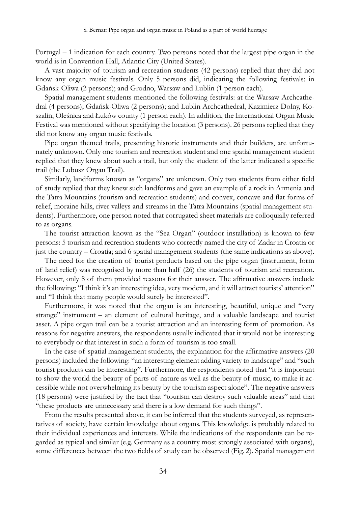Portugal – 1 indication for each country. Two persons noted that the largest pipe organ in the world is in Convention Hall, Atlantic City (United States).

A vast majority of tourism and recreation students (42 persons) replied that they did not know any organ music festivals. Only 5 persons did, indicating the following festivals: in Gdańsk-Oliwa (2 persons); and Grodno, Warsaw and Lublin (1 person each).

Spatial management students mentioned the following festivals: at the Warsaw Archcathedral (4 persons); Gdańsk-Oliwa (2 persons); and Lublin Archcathedral, Kazimierz Dolny, Koszalin, Oleśnica and Łuków county (1 person each). In addition, the International Organ Music Festival was mentioned without specifying the location (3 persons). 26 persons replied that they did not know any organ music festivals.

Pipe organ themed trails, presenting historic instruments and their builders, are unfortunately unknown. Only one tourism and recreation student and one spatial management student replied that they knew about such a trail, but only the student of the latter indicated a specific trail (the Lubusz Organ Trail).

Similarly, landforms known as "organs" are unknown. Only two students from either field of study replied that they knew such landforms and gave an example of a rock in Armenia and the Tatra Mountains (tourism and recreation students) and convex, concave and flat forms of relief, moraine hills, river valleys and streams in the Tatra Mountains (spatial management students). Furthermore, one person noted that corrugated sheet materials are colloquially referred to as organs.

The tourist attraction known as the "Sea Organ" (outdoor installation) is known to few persons: 5 tourism and recreation students who correctly named the city of Zadar in Croatia or just the country – Croatia; and 6 spatial management students (the same indications as above).

The need for the creation of tourist products based on the pipe organ (instrument, form of land relief) was recognised by more than half (26) the students of tourism and recreation. However, only 8 of them provided reasons for their answer. The affirmative answers include the following: "I think it's an interesting idea, very modern, and it will attract tourists' attention" and "I think that many people would surely be interested".

Furthermore, it was noted that the organ is an interesting, beautiful, unique and "very strange" instrument – an element of cultural heritage, and a valuable landscape and tourist asset. A pipe organ trail can be a tourist attraction and an interesting form of promotion. As reasons for negative answers, the respondents usually indicated that it would not be interesting to everybody or that interest in such a form of tourism is too small.

In the case of spatial management students, the explanation for the affirmative answers (20 persons) included the following: "an interesting element adding variety to landscape" and "such tourist products can be interesting". Furthermore, the respondents noted that "it is important to show the world the beauty of parts of nature as well as the beauty of music, to make it accessible while not overwhelming its beauty by the tourism aspect alone". The negative answers (18 persons) were justified by the fact that "tourism can destroy such valuable areas" and that "these products are unnecessary and there is a low demand for such things".

From the results presented above, it can be inferred that the students surveyed, as representatives of society, have certain knowledge about organs. This knowledge is probably related to their individual experiences and interests. While the indications of the respondents can be regarded as typical and similar (e.g. Germany as a country most strongly associated with organs), some differences between the two fields of study can be observed (Fig. 2). Spatial management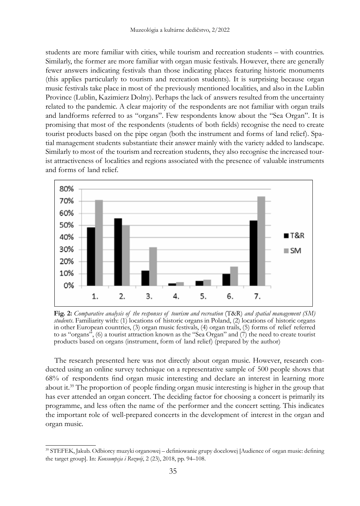students are more familiar with cities, while tourism and recreation students – with countries. Similarly, the former are more familiar with organ music festivals. However, there are generally fewer answers indicating festivals than those indicating places featuring historic monuments (this applies particularly to tourism and recreation students). It is surprising because organ music festivals take place in most of the previously mentioned localities, and also in the Lublin Province (Lublin, Kazimierz Dolny). Perhaps the lack of answers resulted from the uncertainty related to the pandemic. A clear majority of the respondents are not familiar with organ trails and landforms referred to as "organs". Few respondents know about the "Sea Organ". It is promising that most of the respondents (students of both fields) recognise the need to create tourist products based on the pipe organ (both the instrument and forms of land relief). Spatial management students substantiate their answer mainly with the variety added to landscape. Similarly to most of the tourism and recreation students, they also recognise the increased tourist attractiveness of localities and regions associated with the presence of valuable instruments and forms of land relief.



**Fig. 2:** *Comparative analysis of the responses of tourism and recreation* (T&R) *and spatial management (SM) students*. Familiarity with: (1) locations of historic organs in Poland, (2) locations of historic organs in other European countries, (3) organ music festivals, (4) organ trails, (5) forms of relief referred to as "organs", (6) a tourist attraction known as the "Sea Organ" and  $(7)$  the need to create tourist products based on organs (instrument, form of land relief) (prepared by the author)

The research presented here was not directly about organ music. However, research conducted using an online survey technique on a representative sample of 500 people shows that 68% of respondents find organ music interesting and declare an interest in learning more about it.<sup>39</sup> The proportion of people finding organ music interesting is higher in the group that has ever attended an organ concert. The deciding factor for choosing a concert is primarily its programme, and less often the name of the performer and the concert setting. This indicates the important role of well-prepared concerts in the development of interest in the organ and organ music.

<sup>39</sup> STEFEK, Jakub. Odbiorcy muzyki organowej – definiowanie grupy docelowej [Audience of organ music: defining the target group]. In: *Konsumpcja i Rozwój*, 2 (23), 2018, pp. 94–108.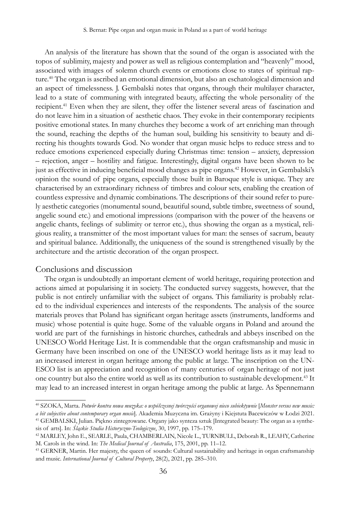An analysis of the literature has shown that the sound of the organ is associated with the topos of sublimity, majesty and power as well as religious contemplation and "heavenly" mood, associated with images of solemn church events or emotions close to states of spiritual rapture.40 The organ is ascribed an emotional dimension, but also an eschatological dimension and an aspect of timelessness. J. Gembalski notes that organs, through their multilayer character, lead to a state of communing with integrated beauty, affecting the whole personality of the recipient.<sup>41</sup> Even when they are silent, they offer the listener several areas of fascination and do not leave him in a situation of aesthetic chaos. They evoke in their contemporary recipients positive emotional states. In many churches they become a work of art enriching man through the sound, reaching the depths of the human soul, building his sensitivity to beauty and directing his thoughts towards God. No wonder that organ music helps to reduce stress and to reduce emotions experienced especially during Christmas time: tension – anxiety, depression – rejection, anger – hostility and fatigue. Interestingly, digital organs have been shown to be just as effective in inducing beneficial mood changes as pipe organs.42 However, in Gembalski's opinion the sound of pipe organs, especially those built in Baroque style is unique. They are characterised by an extraordinary richness of timbres and colour sets, enabling the creation of countless expressive and dynamic combinations. The descriptions of their sound refer to purely aesthetic categories (monumental sound, beautiful sound, subtle timbre, sweetness of sound, angelic sound etc.) and emotional impressions (comparison with the power of the heavens or angelic chants, feelings of sublimity or terror etc.), thus showing the organ as a mystical, religious reality, a transmitter of the most important values for man: the senses of sacrum, beauty and spiritual balance. Additionally, the uniqueness of the sound is strengthened visually by the architecture and the artistic decoration of the organ prospect.

#### Conclusions and discussion

The organ is undoubtedly an important element of world heritage, requiring protection and actions aimed at popularising it in society. The conducted survey suggests, however, that the public is not entirely unfamiliar with the subject of organs. This familiarity is probably related to the individual experiences and interests of the respondents. The analysis of the source materials proves that Poland has significant organ heritage assets (instruments, landforms and music) whose potential is quite huge. Some of the valuable organs in Poland and around the world are part of the furnishings in historic churches, cathedrals and abbeys inscribed on the UNESCO World Heritage List. It is commendable that the organ craftsmanship and music in Germany have been inscribed on one of the UNESCO world heritage lists as it may lead to an increased interest in organ heritage among the public at large. The inscription on the UN-ESCO list is an appreciation and recognition of many centuries of organ heritage of not just one country but also the entire world as well as its contribution to sustainable development.<sup>43</sup> It may lead to an increased interest in organ heritage among the public at large. As Spennemann

sis of arts]. In: *Śląskie Studia Historyczno-Teologiczne*, 30, 1997, pp. 175–179.

<sup>40</sup> SZOKA, Marta. *Potwór kontra nowa muzyka: o współczesnej twórczości organowej nieco subiektywnie* [*Monster versus new music: a bit subjective about contemporary organ music*]. Akademia Muzyczna im. Grażyny i Kiejstuta Bacewiczów w Łodzi 2021. 41 GEMBALSKI, Julian. Piękno zintegrowane. Organy jako synteza sztuk [Integrated beauty: The organ as a synthe-

<sup>42</sup> MARLEY, John E., SEARLE, Paula, CHAMBERLAIN, Nicole L., TURNBULL, Deborah R., LEAHY, Catherine M. Carols in the wind. In: *The Medical Journal of Australia*, 175, 2001, pp. 11–12.

<sup>43</sup> GERNER, Martin. Her majesty, the queen of sounds: Cultural sustainability and heritage in organ craftsmanship and music. *International Journal of Cultural Property*, 28(2), 2021, pp. 285–310.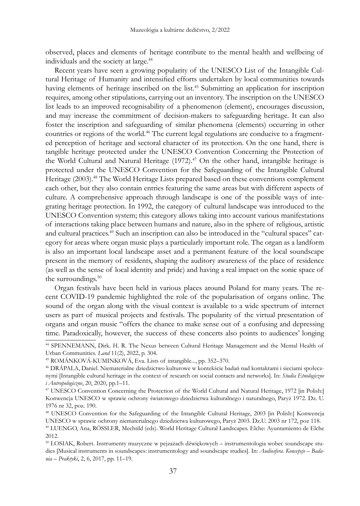observed, places and elements of heritage contribute to the mental health and wellbeing of individuals and the society at large.<sup>44</sup>

Recent years have seen a growing popularity of the UNESCO List of the Intangible Cultural Heritage of Humanity and intensified efforts undertaken by local communities towards having elements of heritage inscribed on the list.<sup>45</sup> Submitting an application for inscription requires, among other stipulations, carrying out an inventory. The inscription on the UNESCO list leads to an improved recognisability of a phenomenon (element), encourages discussion, and may increase the commitment of decision-makers to safeguarding heritage. It can also foster the inscription and safeguarding of similar phenomena (elements) occurring in other countries or regions of the world.<sup>46</sup> The current legal regulations are conducive to a fragmented perception of heritage and sectoral character of its protection. On the one hand, there is tangible heritage protected under the UNESCO Convention Concerning the Protection of the World Cultural and Natural Heritage  $(1972)^{47}$  On the other hand, intangible heritage is protected under the UNESCO Convention for the Safeguarding of the Intangible Cultural Heritage (2003).48 The World Heritage Lists prepared based on these conventions complement each other, but they also contain entries featuring the same areas but with different aspects of culture. A comprehensive approach through landscape is one of the possible ways of integrating heritage protection. In 1992, the category of cultural landscape was introduced to the UNESCO Convention system; this category allows taking into account various manifestations of interactions taking place between humans and nature, also in the sphere of religious, artistic and cultural practices.<sup>49</sup> Such an inscription can also be introduced in the "cultural spaces" category for areas where organ music plays a particularly important role. The organ as a landform is also an important local landscape asset and a permanent feature of the local soundscape present in the memory of residents, shaping the auditory awareness of the place of residence (as well as the sense of local identity and pride) and having a real impact on the sonic space of the surroundings.<sup>50</sup>

Organ festivals have been held in various places around Poland for many years. The recent COVID-19 pandemic highlighted the role of the popularisation of organs online. The sound of the organ along with the visual context is available to a wide spectrum of internet users as part of musical projects and festivals. The popularity of the virtual presentation of organs and organ music "offers the chance to make sense out of a confusing and depressing time. Paradoxically, however, the success of these concerts also points to audiences' longing

<sup>44</sup> SPENNEMANN, Dirk. H. R. The Nexus between Cultural Heritage Management and the Mental Health of Urban Communities. *Land* 11(2), 2022, p. 304.

<sup>45</sup> ROMÁNKOVÁ-KUMINKOVÁ, Eva. Lists of intangible..., pp. 352–370.

<sup>46</sup> DRÁPALA, Daniel. Niematerialne dziedzictwo kulturowe w kontekście badań nad kontaktami i sieciami społecznymi [Intangible cultural heritage in the context of research on social contacts and networks]. In: *Studia Etnologiczne i Antropologiczne*, 20, 2020, pp.1–11.

<sup>47</sup> UNESCO Convention Concerning the Protection of the World Cultural and Natural Heritage, 1972 [in Polish:] Konwencja UNESCO w sprawie ochrony światowego dziedzictwa kulturalnego i naturalnego, Paryż 1972. Dz. U. 1976 nr 32, poz. 190.

<sup>48</sup> UNESCO Convention for the Safeguarding of the Intangible Cultural Heritage, 2003 [in Polish:] Konwencja UNESCO w sprawie ochrony niematerialnego dziedzictwa kulturowego, Paryż 2003. Dz.U. 2003 nr 172, poz 118. <sup>49</sup> LUENGO, Ana, RÖSSLER, Mechtild (eds). World Heritage Cultural Landscapes. Elche: Ayuntamiento de Elche 2012.

<sup>50</sup> LOSIAK, Robert. Instrumenty muzyczne w pejzażach dźwiękowych – instrumentologia wobec soundscape studies [Musical instruments in soundscapes: instrumentology and soundscape studies]. In: *Audiosfera. Koncepcje – Badania – Praktyki*, 2, 6, 2017, pp. 11–19.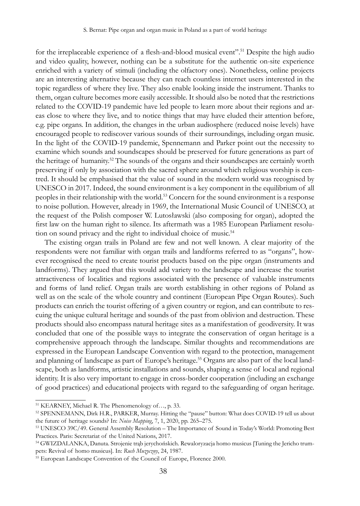for the irreplaceable experience of a flesh-and-blood musical event".<sup>51</sup> Despite the high audio and video quality, however, nothing can be a substitute for the authentic on-site experience enriched with a variety of stimuli (including the olfactory ones). Nonetheless, online projects are an interesting alternative because they can reach countless internet users interested in the topic regardless of where they live. They also enable looking inside the instrument. Thanks to them, organ culture becomes more easily accessible. It should also be noted that the restrictions related to the COVID-19 pandemic have led people to learn more about their regions and areas close to where they live, and to notice things that may have eluded their attention before, e.g. pipe organs. In addition, the changes in the urban audiosphere (reduced noise levels) have encouraged people to rediscover various sounds of their surroundings, including organ music. In the light of the COVID-19 pandemic, Spennemann and Parker point out the necessity to examine which sounds and soundscapes should be preserved for future generations as part of the heritage of humanity.<sup>52</sup> The sounds of the organs and their soundscapes are certainly worth preserving if only by association with the sacred sphere around which religious worship is centred. It should be emphasised that the value of sound in the modern world was recognised by UNESCO in 2017. Indeed, the sound environment is a key component in the equilibrium of all peoples in their relationship with the world.53 Concern for the sound environment is a response to noise pollution. However, already in 1969, the International Music Council of UNESCO, at the request of the Polish composer W. Lutosławski (also composing for organ), adopted the first law on the human right to silence. Its aftermath was a 1985 European Parliament resolution on sound privacy and the right to individual choice of music.<sup>54</sup>

The existing organ trails in Poland are few and not well known. A clear majority of the respondents were not familiar with organ trails and landforms referred to as "organs", however recognised the need to create tourist products based on the pipe organ (instruments and landforms). They argued that this would add variety to the landscape and increase the tourist attractiveness of localities and regions associated with the presence of valuable instruments and forms of land relief. Organ trails are worth establishing in other regions of Poland as well as on the scale of the whole country and continent (European Pipe Organ Routes). Such products can enrich the tourist offering of a given country or region, and can contribute to rescuing the unique cultural heritage and sounds of the past from oblivion and destruction. These products should also encompass natural heritage sites as a manifestation of geodiversity. It was concluded that one of the possible ways to integrate the conservation of organ heritage is a comprehensive approach through the landscape. Similar thoughts and recommendations are expressed in the European Landscape Convention with regard to the protection, management and planning of landscape as part of Europe's heritage.<sup>55</sup> Organs are also part of the local landscape, both as landforms, artistic installations and sounds, shaping a sense of local and regional identity. It is also very important to engage in cross-border cooperation (including an exchange of good practices) and educational projects with regard to the safeguarding of organ heritage.

<sup>51</sup> KEARNEY, Michael R. The Phenomenology of…, p. 33.

<sup>52</sup> SPENNEMANN, Dirk H.R., PARKER, Murray. Hitting the "pause" button: What does COVID-19 tell us about the future of heritage sounds? In: *Noise Mapping*, 7, 1, 2020, pp. 265–275.

<sup>53</sup> UNESCO 39C/49. General Assembly Resolution – The Importance of Sound in Today's World: Promoting Best Practices. Paris: Secretariat of the United Nations, 2017.

<sup>54</sup> GWIZDALANKA, Danuta. Strojenie trąb jerychońskich. Rewaloryzacja homo musicus [Tuning the Jericho trumpets: Revival of homo musicus]. In: *Ruch Muzyczny*, 24, 1987.

<sup>55</sup> European Landscape Convention of the Council of Europe, Florence 2000.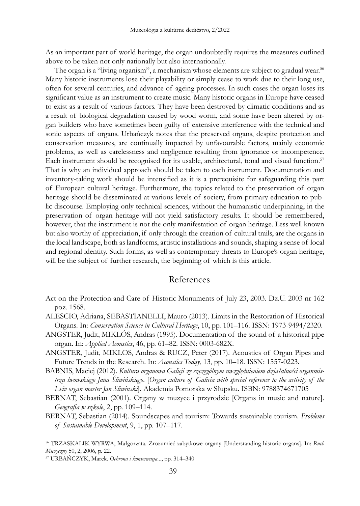As an important part of world heritage, the organ undoubtedly requires the measures outlined above to be taken not only nationally but also internationally.

The organ is a "living organism", a mechanism whose elements are subject to gradual wear.<sup>56</sup> Many historic instruments lose their playability or simply cease to work due to their long use, often for several centuries, and advance of ageing processes. In such cases the organ loses its significant value as an instrument to create music. Many historic organs in Europe have ceased to exist as a result of various factors. They have been destroyed by climatic conditions and as a result of biological degradation caused by wood worm, and some have been altered by organ builders who have sometimes been guilty of extensive interference with the technical and sonic aspects of organs. Urbańczyk notes that the preserved organs, despite protection and conservation measures, are continually impacted by unfavourable factors, mainly economic problems, as well as carelessness and negligence resulting from ignorance or incompetence. Each instrument should be recognised for its usable, architectural, tonal and visual function.<sup>57</sup> That is why an individual approach should be taken to each instrument. Documentation and inventory-taking work should be intensified as it is a prerequisite for safeguarding this part of European cultural heritage. Furthermore, the topics related to the preservation of organ heritage should be disseminated at various levels of society, from primary education to public discourse. Employing only technical sciences, without the humanistic underpinning, in the preservation of organ heritage will not yield satisfactory results. It should be remembered, however, that the instrument is not the only manifestation of organ heritage. Less well known but also worthy of appreciation, if only through the creation of cultural trails, are the organs in the local landscape, both as landforms, artistic installations and sounds, shaping a sense of local and regional identity. Such forms, as well as contemporary threats to Europe's organ heritage, will be the subject of further research, the beginning of which is this article.

## References

- Act on the Protection and Care of Historic Monuments of July 23, 2003. Dz.U. 2003 nr 162 poz. 1568.
- ALESCIO, Adriana, SEBASTIANELLI, Mauro (2013). Limits in the Restoration of Historical Organs. In: *Conservation Science in Cultural Heritage*, 10, pp. 101–116. ISSN: 1973-9494/2320.
- ANGSTER, Judit, MIKLÓS, Andras (1995). Documentation of the sound of a historical pipe organ. In: *Applied Acoustics*, 46, pp. 61–82. ISSN: 0003-682X.
- ANGSTER, Judit, MIKLOS, Andras & RUCZ, Peter (2017). Acoustics of Organ Pipes and Future Trends in the Research. In: *Acoustics Today*, 13, pp. 10–18. ISSN: 1557-0223.
- BABNIS, Maciej (2012). *Kultura organowa Galicji ze szczególnym uwzględnieniem działalności organmistrza lwowskiego Jana Śliwińskiego*. [*Organ culture of Galicia with special reference to the activity of the Lviv organ master Jan Sliwinski*]. Akademia Pomorska w Słupsku. ISBN: 9788374671705
- BERNAT, Sebastian (2001). Organy w muzyce i przyrodzie [Organs in music and nature]. *Geografia w szkole*, 2, pp. 109–114.
- BERNAT, Sebastian (2014). Soundscapes and tourism: Towards sustainable tourism. *Problems of Sustainable Development*, 9, 1, pp. 107–117.

<sup>56</sup> TRZASKALIK-WYRWA, Małgorzata. Zrozumieć zabytkowe organy [Understanding historic organs]. In: *Ruch Muzyczny* 50, 2, 2006, p. 22.

<sup>57</sup> URBAŃCZYK, Marek. *Ochrona i konserwacja*..., pp. 314–340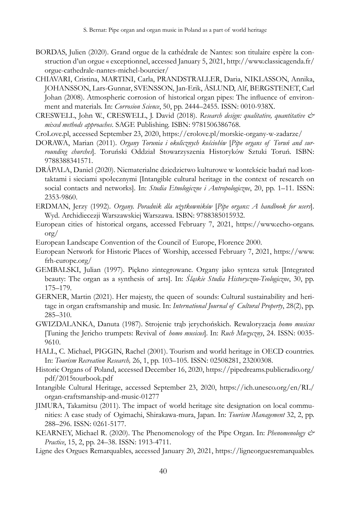- BORDAS, Julien (2020). Grand orgue de la cathédrale de Nantes: son titulaire espère la construction d'un orgue « exceptionnel, accessed January 5, 2021, http://www.classicagenda.fr/ orgue-cathedrale-nantes-michel-bourcier/
- CHIAVARI, Cristina, MARTINI, Carla, PRANDSTRALLER, Daria, NIKLASSON, Annika, JOHANSSON, Lars-Gunnar, SVENSSON, Jan-Erik, ÅSLUND, Alf, BERGSTENET, Carl Johan (2008). Atmospheric corrosion of historical organ pipes: The influence of environment and materials. In: *Corrosion Science*, 50, pp. 2444–2455. ISSN: 0010-938X.
- CRESWELL, John W., CRESWELL, J. David (2018). *Research design: qualitative, quantitative & mixed methods approaches*. SAGE Publishing. ISBN: 9781506386768.
- CroLove.pl, accessed September 23, 2020, https://crolove.pl/morskie-organy-w-zadarze/
- DORAWA, Marian (2011). *Organy Torunia i okolicznych kościołów* [*Pipe organs of Toruń and surrounding churches*]. Toruński Oddział Stowarzyszenia Historyków Sztuki Toruń. ISBN: 9788388341571.
- DRÁPALA, Daniel (2020). Niematerialne dziedzictwo kulturowe w kontekście badań nad kontaktami i sieciami społecznymi [Intangible cultural heritage in the context of research on social contacts and networks]. In: *Studia Etnologiczne i Antropologiczne*, 20, pp. 1–11. ISSN: 2353-9860.
- ERDMAN, Jerzy (1992). *Organy. Poradnik dla użytkowników* [*Pipe organs: A handbook for users*]. Wyd. Archidiecezji Warszawskiej Warszawa. ISBN: 9788385015932.
- European cities of historical organs, accessed February 7, 2021, https://www.echo-organs. org/
- European Landscape Convention of the Council of Europe, Florence 2000.
- European Network for Historic Places of Worship, accessed February 7, 2021, https://www. frh-europe.org/
- GEMBALSKI, Julian (1997). Piękno zintegrowane. Organy jako synteza sztuk [Integrated beauty: The organ as a synthesis of arts]. In: *Śląskie Studia Historyczno-Teologiczne*, 30, pp. 175–179.
- GERNER, Martin (2021). Her majesty, the queen of sounds: Cultural sustainability and heritage in organ craftsmanship and music. In: *International Journal of Cultural Property*, 28(2), pp. 285–310.
- GWIZDALANKA, Danuta (1987). Strojenie trąb jerychońskich. Rewaloryzacja *homo musicus*  [Tuning the Jericho trumpets: Revival of *homo musicus*]. In: *Ruch Muzyczny*, 24. ISSN: 0035- 9610.
- HALL, C. Michael, PIGGIN, Rachel (2001). Tourism and world heritage in OECD countries. In: *Tourism Recreation Research,* 26, 1, pp. 103–105. ISSN: 02508281, 23200308.
- Historic Organs of Poland, accessed December 16, 2020, https://pipedreams.publicradio.org/ pdf/2015tourbook.pdf
- Intangible Cultural Heritage, accessed September 23, 2020, https://ich.unesco.org/en/RL/ organ-craftsmanship-and-music-01277
- JIMURA, Takamitsu (2011). The impact of world heritage site designation on local communities: A case study of Ogimachi, Shirakawa-mura, Japan. In: *Tourism Management* 32, 2, pp. 288–296. ISSN: 0261-5177.
- KEARNEY, Michael R. (2020). The Phenomenology of the Pipe Organ. In: *Phenomenology & Practice*, 15, 2, pp. 24–38. ISSN: 1913-4711.
- Ligne des Orgues Remarquables, accessed January 20, 2021, https://ligneorguesremarquables.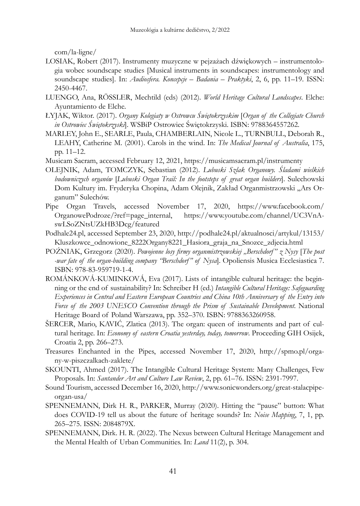com/la-ligne/

- LOSIAK, Robert (2017). Instrumenty muzyczne w pejzażach dźwiękowych instrumentologia wobec soundscape studies [Musical instruments in soundscapes: instrumentology and soundscape studies]. In: *Audiosfera. Koncepcje – Badania – Praktyki*, 2, 6, pp. 11–19. ISSN: 2450-4467.
- LUENGO, Ana, RÖSSLER, Mechtild (eds) (2012). *World Heritage Cultural Landscapes*. Elche: Ayuntamiento de Elche.
- ŁYJAK, Wiktor. (2017). *Organy Kolegiaty w Ostrowcu Świętokrzyskim* [*Organ of the Collegiate Church in Ostrowiec Świętokrzyski*]. WSBiP Ostrowiec Świętokrzyski. ISBN: 9788364557262.
- MARLEY, John E., SEARLE, Paula, CHAMBERLAIN, Nicole L., TURNBULL, Deborah R., LEAHY, Catherine M. (2001). Carols in the wind. In: *The Medical Journal of Australia*, 175, pp. 11–12.
- Musicam Sacram, accessed February 12, 2021, https://musicamsacram.pl/instrumenty
- OLEJNIK, Adam, TOMCZYK, Sebastian (2012). *Lubuski Szlak Organowy. Śladami wielkich budowniczych organów* [*Lubuski Organ Trail: In the footsteps of great organ builders*]. Sulechowski Dom Kultury im. Fryderyka Chopina, Adam Olejnik, Zakład Organmistrzowski "Ars Organum" Sulechów.
- Pipe Organ Travels, accessed November 17, 2020, https://www.facebook.com/ OrganowePodroze/?ref=page\_internal, https://www.youtube.com/channel/UC3VnAswLSoZNtsUZkHB3Dcg/featured
- Podhale24.pl, accessed September 23, 2020, http://podhale24.pl/aktualnosci/artykul/13153/ Kluszkowce\_odnowione\_8222Organy8221\_Hasiora\_graja\_na\_Snozce\_zdjecia.html
- POŹNIAK, Grzegorz (2020). *Powojenne losy firmy organmistrzowskiej "Berschdorf" z Nysy* [*The post -war fate of the organ-building company "Berschdorf" of Nysa*]. Opoliensis Musica Ecclesiastica 7. ISBN: 978-83-959719-1-4.
- ROMÁNKOVÁ-KUMINKOVÁ, Eva (2017). Lists of intangible cultural heritage: the beginning or the end of sustainability? In: Schreiber H (ed.) *Intangible Cultural Heritage: Safeguarding Experiences in Central and Eastern European Countries and China 10th Anniversary of the Entry into Force of the 2003 UNESCO Convention through the Prism of Sustainable Development*. National Heritage Board of Poland Warszawa, pp. 352–370. ISBN: 9788363260958.
- ŠERCER, Mario, KAVIĆ, Zlatica (2013). The organ: queen of instruments and part of cultural heritage. In: *Economy of eastern Croatia yesterday, today, tomorrow*. Proceeding GIH Osijek, Croatia 2, pp. 266–273.
- Treasures Enchanted in the Pipes, accessed November 17, 2020, http://spmo.pl/organy-w-piszczalkach-zaklete/
- SKOUNTI, Ahmed (2017). The Intangible Cultural Heritage System: Many Challenges, Few Proposals. In: *Santander Art and Culture Law Review*, 2, pp. 61–76. ISSN: 2391-7997.
- Sound Tourism, accessed December 16, 2020, http://www.sonicwonders.org/great-stalacpipeorgan-usa/
- SPENNEMANN, Dirk H. R., PARKER, Murray (2020). Hitting the "pause" button: What does COVID-19 tell us about the future of heritage sounds? In: *Noise Mapping*, 7, 1, pp. 265–275. ISSN: 2084879X.
- SPENNEMANN, Dirk. H. R. (2022). The Nexus between Cultural Heritage Management and the Mental Health of Urban Communities. In: *Land* 11(2), p. 304.